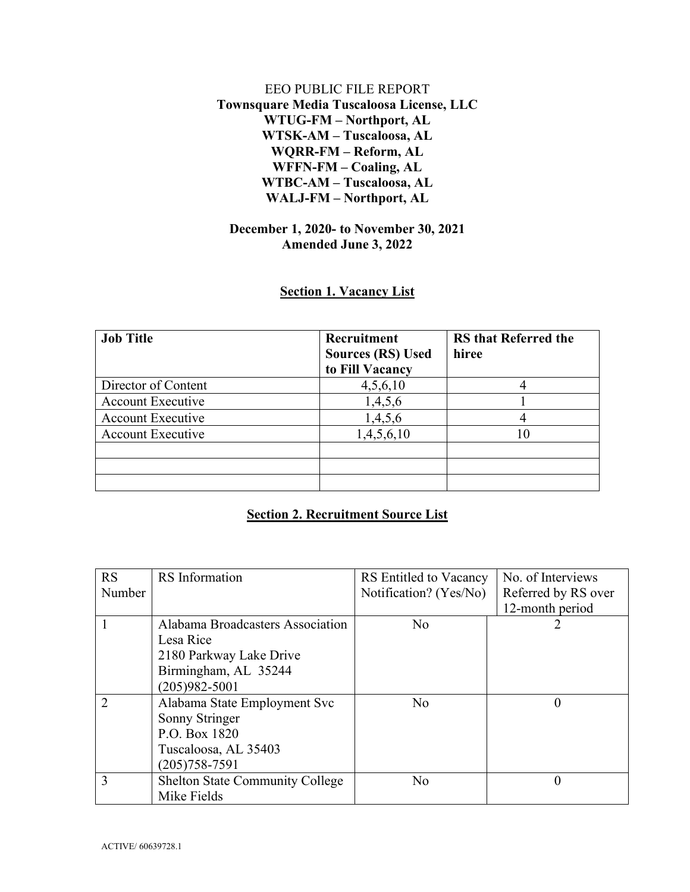## EEO PUBLIC FILE REPORT **Townsquare Media Tuscaloosa License, LLC WTUG-FM – Northport, AL WTSK-AM – Tuscaloosa, AL WQRR-FM – Reform, AL WFFN-FM – Coaling, AL WTBC-AM – Tuscaloosa, AL WALJ-FM – Northport, AL**

## **December 1, 2020- to November 30, 2021 Amended June 3, 2022**

## **Section 1. Vacancy List**

| <b>Job Title</b>         | Recruitment<br><b>Sources (RS) Used</b><br>to Fill Vacancy | <b>RS</b> that Referred the<br>hiree |
|--------------------------|------------------------------------------------------------|--------------------------------------|
| Director of Content      | 4,5,6,10                                                   |                                      |
| <b>Account Executive</b> | 1,4,5,6                                                    |                                      |
| <b>Account Executive</b> | 1,4,5,6                                                    |                                      |
| <b>Account Executive</b> | 1,4,5,6,10                                                 | 10                                   |
|                          |                                                            |                                      |
|                          |                                                            |                                      |
|                          |                                                            |                                      |

## **Section 2. Recruitment Source List**

| <b>RS</b>      | <b>RS</b> Information                  | RS Entitled to Vacancy | No. of Interviews   |
|----------------|----------------------------------------|------------------------|---------------------|
| Number         |                                        | Notification? (Yes/No) | Referred by RS over |
|                |                                        |                        | 12-month period     |
|                | Alabama Broadcasters Association       | No                     |                     |
|                | Lesa Rice                              |                        |                     |
|                | 2180 Parkway Lake Drive                |                        |                     |
|                | Birmingham, AL 35244                   |                        |                     |
|                | $(205)982 - 5001$                      |                        |                     |
| $\overline{2}$ | Alabama State Employment Svc           | No                     | 0                   |
|                | Sonny Stringer                         |                        |                     |
|                | P.O. Box 1820                          |                        |                     |
|                | Tuscaloosa, AL 35403                   |                        |                     |
|                | $(205)758 - 7591$                      |                        |                     |
| 3              | <b>Shelton State Community College</b> | N <sub>o</sub>         | $\theta$            |
|                | Mike Fields                            |                        |                     |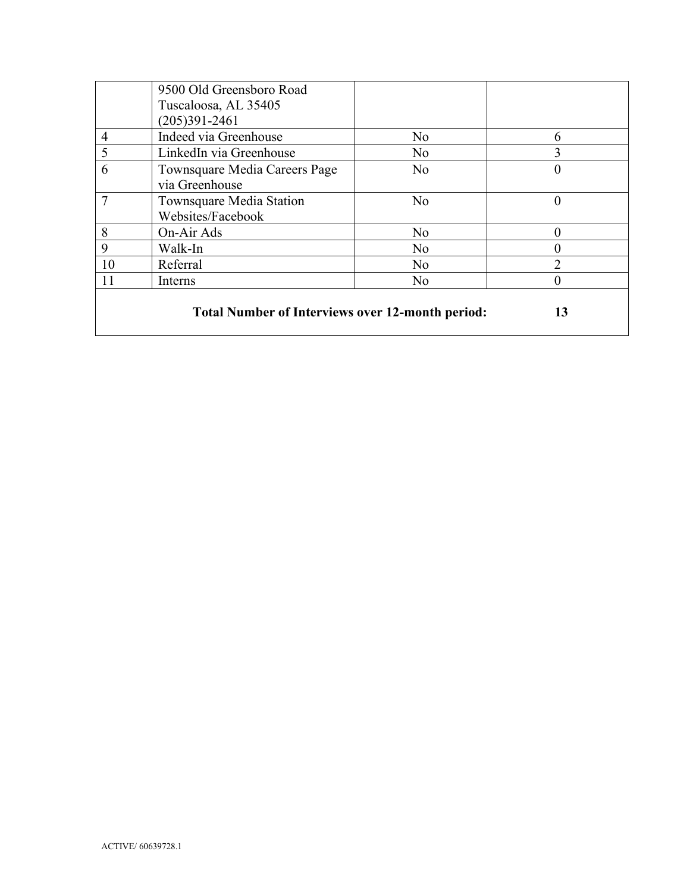|                                                         | 9500 Old Greensboro Road      |                |          |
|---------------------------------------------------------|-------------------------------|----------------|----------|
|                                                         | Tuscaloosa, AL 35405          |                |          |
|                                                         | $(205)391 - 2461$             |                |          |
| $\overline{4}$                                          | Indeed via Greenhouse         | No             | 6        |
| 5                                                       | LinkedIn via Greenhouse       | N <sub>o</sub> | 3        |
| 6                                                       | Townsquare Media Careers Page | No             | 0        |
|                                                         | via Greenhouse                |                |          |
|                                                         | Townsquare Media Station      | No             | $\theta$ |
|                                                         | Websites/Facebook             |                |          |
| 8                                                       | On-Air Ads                    | N <sub>o</sub> | 0        |
| 9                                                       | Walk-In                       | N <sub>o</sub> |          |
| 10                                                      | Referral                      | No             | ↑        |
| 11                                                      | Interns                       | N <sub>o</sub> | 0        |
|                                                         |                               |                |          |
| <b>Total Number of Interviews over 12-month period:</b> |                               |                | 13       |
|                                                         |                               |                |          |